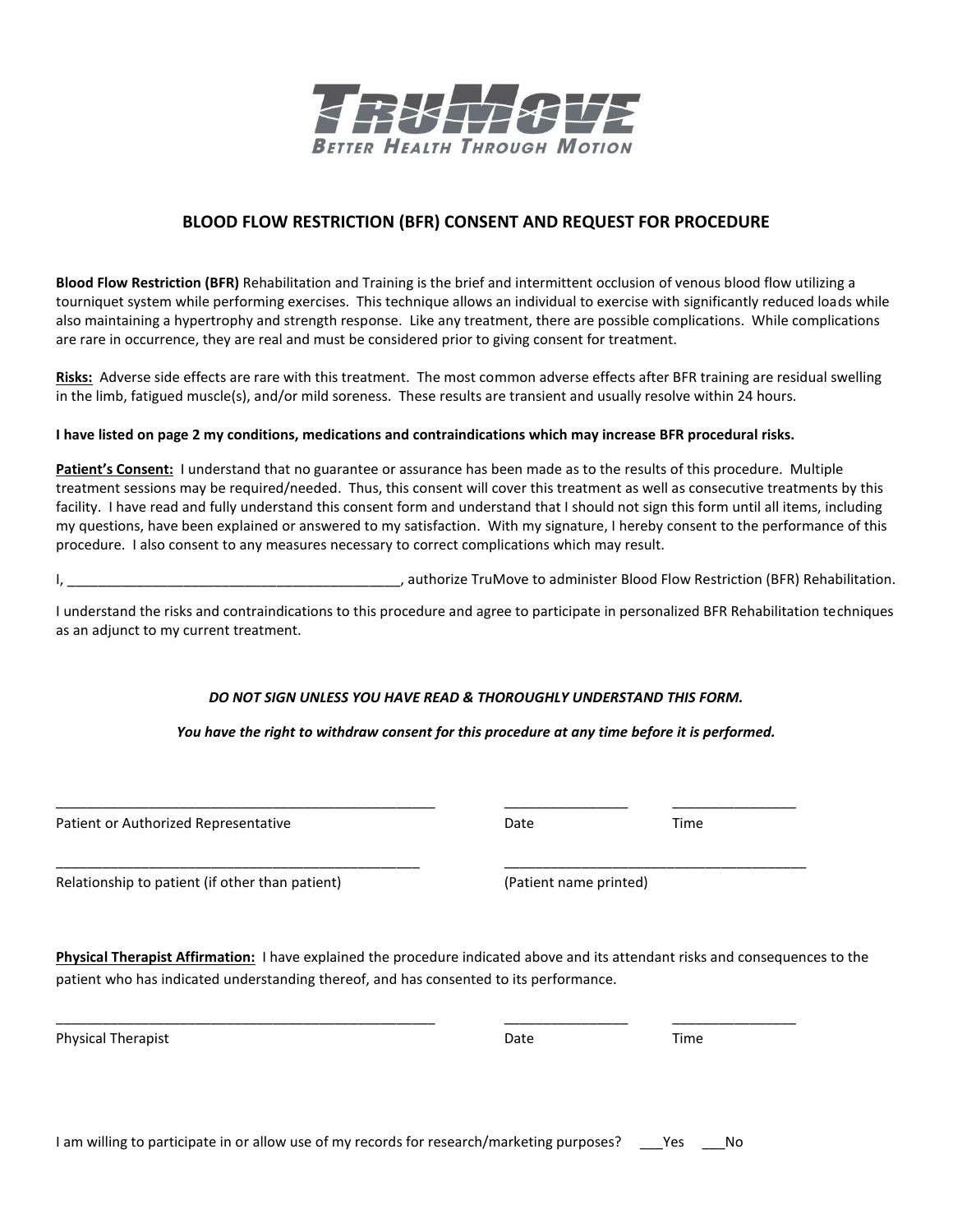

## **BLOOD FLOW RESTRICTION (BFR) CONSENT AND REQUEST FOR PROCEDURE**

**Blood Flow Restriction (BFR)** Rehabilitation and Training is the brief and intermittent occlusion of venous blood flow utilizing a tourniquet system while performing exercises. This technique allows an individual to exercise with significantly reduced loads while also maintaining a hypertrophy and strength response. Like any treatment, there are possible complications. While complications are rare in occurrence, they are real and must be considered prior to giving consent for treatment.

**Risks:** Adverse side effects are rare with this treatment. The most common adverse effects after BFR training are residual swelling in the limb, fatigued muscle(s), and/or mild soreness. These results are transient and usually resolve within 24 hours.

#### I have listed on page 2 my conditions, medications and contraindications which may increase BFR procedural risks.

**Patient's Consent:** I understand that no guarantee or assurance has been made as to the results of this procedure. Multiple treatment sessions may be required/needed. Thus, this consent will cover this treatment as well as consecutive treatments by this facility. I have read and fully understand this consent form and understand that I should not sign this form until all items, including my questions, have been explained or answered to my satisfaction. With my signature, I hereby consent to the performance of this procedure. I also consent to any measures necessary to correct complications which may result.

I, \_\_\_\_\_\_\_\_\_\_\_\_\_\_\_\_\_\_\_\_\_\_\_\_\_\_\_\_\_\_\_\_\_\_\_\_\_\_\_\_\_\_\_, authorize TruMove to administer Blood Flow Restriction (BFR) Rehabilitation.

I understand the risks and contraindications to this procedure and agree to participate in personalized BFR Rehabilitation techniques as an adjunct to my current treatment.

### *DO NOT SIGN UNLESS YOU HAVE READ & THOROUGHLY UNDERSTAND THIS FORM.*

*You have the right to withdraw consent for this procedure at any time before it is performed.*

\_\_\_\_\_\_\_\_\_\_\_\_\_\_\_\_\_\_\_\_\_\_\_\_\_\_\_\_\_\_\_\_\_\_\_\_\_\_\_\_\_\_\_\_\_\_\_\_\_ \_\_\_\_\_\_\_\_\_\_\_\_\_\_\_\_ \_\_\_\_\_\_\_\_\_\_\_\_\_\_\_\_

\_\_\_\_\_\_\_\_\_\_\_\_\_\_\_\_\_\_\_\_\_\_\_\_\_\_\_\_\_\_\_\_\_\_\_\_\_\_\_\_\_\_\_\_\_\_\_ \_\_\_\_\_\_\_\_\_\_\_\_\_\_\_\_\_\_\_\_\_\_\_\_\_\_\_\_\_\_\_\_\_\_\_\_\_\_\_

\_\_\_\_\_\_\_\_\_\_\_\_\_\_\_\_\_\_\_\_\_\_\_\_\_\_\_\_\_\_\_\_\_\_\_\_\_\_\_\_\_\_\_\_\_\_\_\_\_ \_\_\_\_\_\_\_\_\_\_\_\_\_\_\_\_ \_\_\_\_\_\_\_\_\_\_\_\_\_\_\_\_

Patient or Authorized Representative and the Control of Cate Control of Time Time

Relationship to patient (if other than patient) (Patient name printed)

**Physical Therapist Affirmation:** I have explained the procedure indicated above and its attendant risks and consequences to the patient who has indicated understanding thereof, and has consented to its performance.

Physical Therapist **Date** Time Time **Therapist** Date **Date** Date Time **Time** 

I am willing to participate in or allow use of my records for research/marketing purposes? \_\_\_\_Yes \_\_\_\_\_No